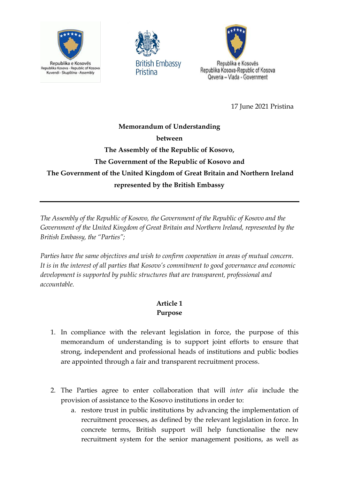





17 June 2021 Pristina

# **Memorandum of Understanding between The Assembly of the Republic of Kosovo, The Government of the Republic of Kosovo and The Government of the United Kingdom of Great Britain and Northern Ireland represented by the British Embassy**

*The Assembly of the Republic of Kosovo, the Government of the Republic of Kosovo and the Government of the United Kingdom of Great Britain and Northern Ireland, represented by the British Embassy, the "Parties";* 

*Parties have the same objectives and wish to confirm cooperation in areas of mutual concern. It is in the interest of all parties that Kosovo's commitment to good governance and economic development is supported by public structures that are transparent, professional and accountable.* 

# **Article 1 Purpose**

- 1. In compliance with the relevant legislation in force, the purpose of this memorandum of understanding is to support joint efforts to ensure that strong, independent and professional heads of institutions and public bodies are appointed through a fair and transparent recruitment process.
- 2. The Parties agree to enter collaboration that will *inter alia* include the provision of assistance to the Kosovo institutions in order to:
	- a. restore trust in public institutions by advancing the implementation of recruitment processes, as defined by the relevant legislation in force. In concrete terms, British support will help functionalise the new recruitment system for the senior management positions, as well as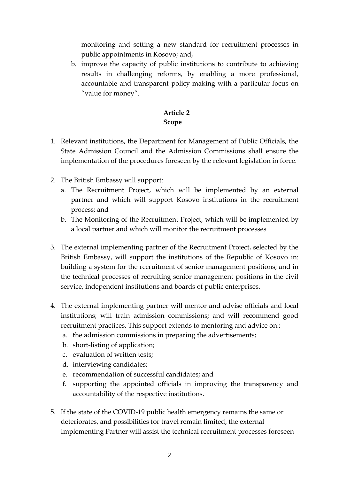monitoring and setting a new standard for recruitment processes in public appointments in Kosovo; and,

b. improve the capacity of public institutions to contribute to achieving results in challenging reforms, by enabling a more professional, accountable and transparent policy-making with a particular focus on "value for money".

### **Article 2 Scope**

- 1. Relevant institutions, the Department for Management of Public Officials, the State Admission Council and the Admission Commissions shall ensure the implementation of the procedures foreseen by the relevant legislation in force.
- 2. The British Embassy will support:
	- a. The Recruitment Project, which will be implemented by an external partner and which will support Kosovo institutions in the recruitment process; and
	- b. The Monitoring of the Recruitment Project, which will be implemented by a local partner and which will monitor the recruitment processes
- 3. The external implementing partner of the Recruitment Project, selected by the British Embassy, will support the institutions of the Republic of Kosovo in: building a system for the recruitment of senior management positions; and in the technical processes of recruiting senior management positions in the civil service, independent institutions and boards of public enterprises.
- 4. The external implementing partner will mentor and advise officials and local institutions; will train admission commissions; and will recommend good recruitment practices. This support extends to mentoring and advice on::
	- a. the admission commissions in preparing the advertisements;
	- b. short-listing of application;
	- c. evaluation of written tests;
	- d. interviewing candidates;
	- e. recommendation of successful candidates; and
	- f. supporting the appointed officials in improving the transparency and accountability of the respective institutions.
- 5. If the state of the COVID-19 public health emergency remains the same or deteriorates, and possibilities for travel remain limited, the external Implementing Partner will assist the technical recruitment processes foreseen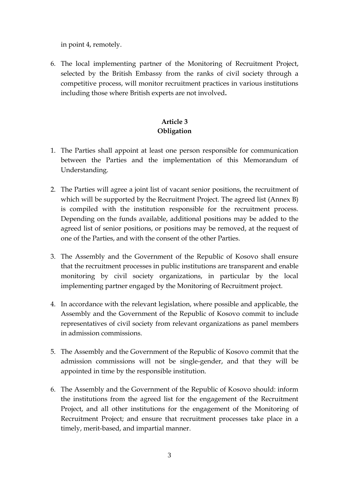in point 4, remotely.

6. The local implementing partner of the Monitoring of Recruitment Project, selected by the British Embassy from the ranks of civil society through a competitive process, will monitor recruitment practices in various institutions including those where British experts are not involved**.**

# **Article 3 Obligation**

- 1. The Parties shall appoint at least one person responsible for communication between the Parties and the implementation of this Memorandum of Understanding.
- 2. The Parties will agree a joint list of vacant senior positions, the recruitment of which will be supported by the Recruitment Project. The agreed list (Annex B) is compiled with the institution responsible for the recruitment process. Depending on the funds available, additional positions may be added to the agreed list of senior positions, or positions may be removed, at the request of one of the Parties, and with the consent of the other Parties.
- 3. The Assembly and the Government of the Republic of Kosovo shall ensure that the recruitment processes in public institutions are transparent and enable monitoring by civil society organizations, in particular by the local implementing partner engaged by the Monitoring of Recruitment project.
- 4. In accordance with the relevant legislation, where possible and applicable, the Assembly and the Government of the Republic of Kosovo commit to include representatives of civil society from relevant organizations as panel members in admission commissions.
- 5. The Assembly and the Government of the Republic of Kosovo commit that the admission commissions will not be single-gender, and that they will be appointed in time by the responsible institution.
- 6. The Assembly and the Government of the Republic of Kosovo should: inform the institutions from the agreed list for the engagement of the Recruitment Project, and all other institutions for the engagement of the Monitoring of Recruitment Project; and ensure that recruitment processes take place in a timely, merit-based, and impartial manner.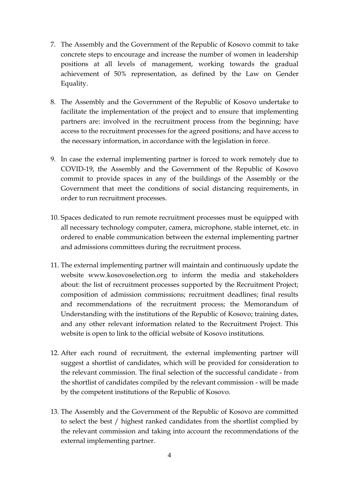- 7. The Assembly and the Government of the Republic of Kosovo commit to take concrete steps to encourage and increase the number of women in leadership positions at all levels of management, working towards the gradual achievement of 50% representation, as defined by the Law on Gender Equality.
- 8. The Assembly and the Government of the Republic of Kosovo undertake to facilitate the implementation of the project and to ensure that implementing partners are: involved in the recruitment process from the beginning; have access to the recruitment processes for the agreed positions; and have access to the necessary information, in accordance with the legislation in force.
- 9. In case the external implementing partner is forced to work remotely due to COVID-19, the Assembly and the Government of the Republic of Kosovo commit to provide spaces in any of the buildings of the Assembly or the Government that meet the conditions of social distancing requirements, in order to run recruitment processes.
- 10. Spaces dedicated to run remote recruitment processes must be equipped with all necessary technology computer, camera, microphone, stable internet, etc. in ordered to enable communication between the external implementing partner and admissions committees during the recruitment process.
- 11. The external implementing partner will maintain and continuously update the website www.kosovoselection.org to inform the media and stakeholders about: the list of recruitment processes supported by the Recruitment Project; composition of admission commissions; recruitment deadlines; final results and recommendations of the recruitment process; the Memorandum of Understanding with the institutions of the Republic of Kosovo; training dates, and any other relevant information related to the Recruitment Project. This website is open to link to the official website of Kosovo institutions.
- 12. After each round of recruitment, the external implementing partner will suggest a shortlist of candidates, which will be provided for consideration to the relevant commission. The final selection of the successful candidate - from the shortlist of candidates compiled by the relevant commission - will be made by the competent institutions of the Republic of Kosovo.
- 13. The Assembly and the Government of the Republic of Kosovo are committed to select the best / highest ranked candidates from the shortlist complied by the relevant commission and taking into account the recommendations of the external implementing partner.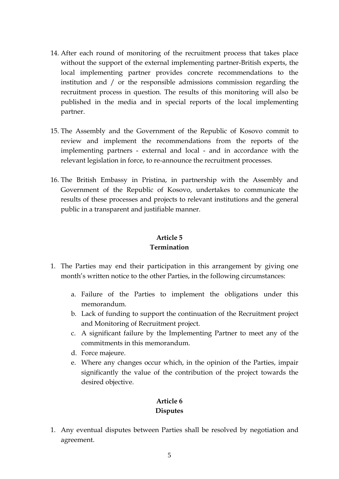- 14. After each round of monitoring of the recruitment process that takes place without the support of the external implementing partner-British experts, the local implementing partner provides concrete recommendations to the institution and / or the responsible admissions commission regarding the recruitment process in question. The results of this monitoring will also be published in the media and in special reports of the local implementing partner.
- 15. The Assembly and the Government of the Republic of Kosovo commit to review and implement the recommendations from the reports of the implementing partners - external and local - and in accordance with the relevant legislation in force, to re-announce the recruitment processes.
- 16. The British Embassy in Pristina, in partnership with the Assembly and Government of the Republic of Kosovo, undertakes to communicate the results of these processes and projects to relevant institutions and the general public in a transparent and justifiable manner.

#### **Article 5 Termination**

- 1. The Parties may end their participation in this arrangement by giving one month's written notice to the other Parties, in the following circumstances:
	- a. Failure of the Parties to implement the obligations under this memorandum.
	- b. Lack of funding to support the continuation of the Recruitment project and Monitoring of Recruitment project.
	- c. A significant failure by the Implementing Partner to meet any of the commitments in this memorandum.
	- d. Force majeure.
	- e. Where any changes occur which, in the opinion of the Parties, impair significantly the value of the contribution of the project towards the desired objective.

## **Article 6 Disputes**

1. Any eventual disputes between Parties shall be resolved by negotiation and agreement.